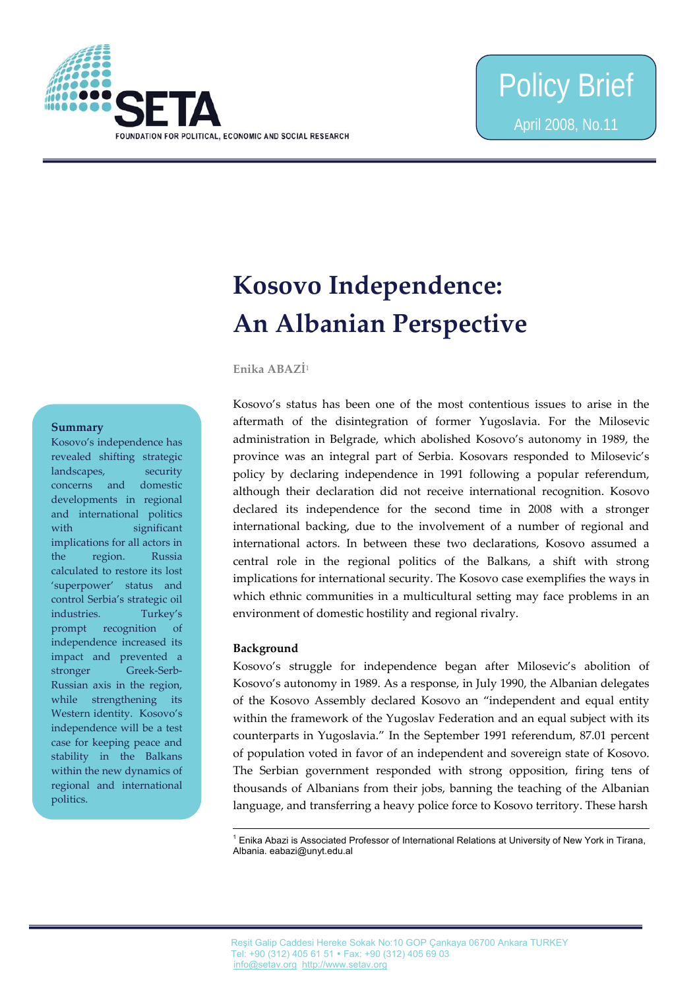

# **Kosovo Independence: An Albanian Perspective**

**Enika ABAZİ**<sup>1</sup>

#### **Summary**

Kosovo's independence has revealed shifting strategic landscapes, security concerns and domestic developments in regional and international politics with significant implications for all actors in the region. Russia calculated to restore its lost 'superpower' status and control Serbia's strategic oil industries. Turkey's prompt recognition of independence increased its impact and prevented a stronger Greek-Serb-Russian axis in the region, while strengthening its Western identity. Kosovo's independence will be a test case for keeping peace and stability in the Balkans within the new dynamics of regional and international politics.

Kosovo's status has been one of the most contentious issues to arise in the aftermath of the disintegration of former Yugoslavia. For the Milosevic administration in Belgrade, which abolished Kosovo's autonomy in 1989, the province was an integral part of Serbia. Kosovars responded to Milosevic's policy by declaring independence in 1991 following a popular referendum, although their declaration did not receive international recognition. Kosovo declared its independence for the second time in 2008 with a stronger international backing, due to the involvement of a number of regional and international actors. In between these two declarations, Kosovo assumed a central role in the regional politics of the Balkans, a shift with strong implications for international security. The Kosovo case exemplifies the ways in which ethnic communities in a multicultural setting may face problems in an environment of domestic hostility and regional rivalry.

# **Background**

 $\overline{a}$ 

Kosovo's struggle for independence began after Milosevic's abolition of Kosovo's autonomy in 1989. As a response, in July 1990, the Albanian delegates of the Kosovo Assembly declared Kosovo an "independent and equal entity within the framework of the Yugoslav Federation and an equal subject with its counterparts in Yugoslavia." In the September 1991 referendum, 87.01 percent of population voted in favor of an independent and sovereign state of Kosovo. The Serbian government responded with strong opposition, firing tens of thousands of Albanians from their jobs, banning the teaching of the Albanian language, and transferring a heavy police force to Kosovo territory. These harsh

<sup>1</sup> Enika Abazi is Associated Professor of International Relations at University of New York in Tirana, Albania. eabazi@unyt.edu.al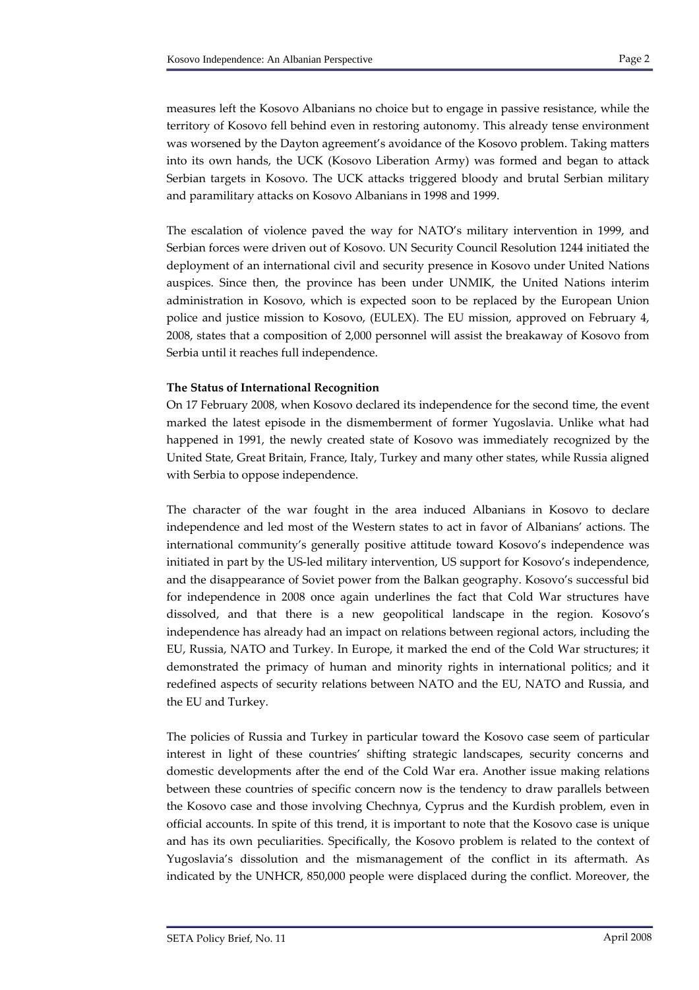measures left the Kosovo Albanians no choice but to engage in passive resistance, while the territory of Kosovo fell behind even in restoring autonomy. This already tense environment was worsened by the Dayton agreement's avoidance of the Kosovo problem. Taking matters into its own hands, the UCK (Kosovo Liberation Army) was formed and began to attack Serbian targets in Kosovo. The UCK attacks triggered bloody and brutal Serbian military and paramilitary attacks on Kosovo Albanians in 1998 and 1999.

The escalation of violence paved the way for NATO's military intervention in 1999, and Serbian forces were driven out of Kosovo. UN Security Council Resolution 1244 initiated the deployment of an international civil and security presence in Kosovo under United Nations auspices. Since then, the province has been under UNMIK, the United Nations interim administration in Kosovo, which is expected soon to be replaced by the European Union police and justice mission to Kosovo, (EULEX). The EU mission, approved on February 4, 2008, states that a composition of 2,000 personnel will assist the breakaway of Kosovo from Serbia until it reaches full independence.

# **The Status of International Recognition**

On 17 February 2008, when Kosovo declared its independence for the second time, the event marked the latest episode in the dismemberment of former Yugoslavia. Unlike what had happened in 1991, the newly created state of Kosovo was immediately recognized by the United State, Great Britain, France, Italy, Turkey and many other states, while Russia aligned with Serbia to oppose independence.

The character of the war fought in the area induced Albanians in Kosovo to declare independence and led most of the Western states to act in favor of Albanians' actions. The international community's generally positive attitude toward Kosovo's independence was initiated in part by the US‐led military intervention, US support for Kosovo's independence, and the disappearance of Soviet power from the Balkan geography. Kosovo's successful bid for independence in 2008 once again underlines the fact that Cold War structures have dissolved, and that there is a new geopolitical landscape in the region. Kosovo's independence has already had an impact on relations between regional actors, including the EU, Russia, NATO and Turkey. In Europe, it marked the end of the Cold War structures; it demonstrated the primacy of human and minority rights in international politics; and it redefined aspects of security relations between NATO and the EU, NATO and Russia, and the EU and Turkey.

The policies of Russia and Turkey in particular toward the Kosovo case seem of particular interest in light of these countries' shifting strategic landscapes, security concerns and domestic developments after the end of the Cold War era. Another issue making relations between these countries of specific concern now is the tendency to draw parallels between the Kosovo case and those involving Chechnya, Cyprus and the Kurdish problem, even in official accounts. In spite of this trend, it is important to note that the Kosovo case is unique and has its own peculiarities. Specifically, the Kosovo problem is related to the context of Yugoslavia's dissolution and the mismanagement of the conflict in its aftermath. As indicated by the UNHCR, 850,000 people were displaced during the conflict. Moreover, the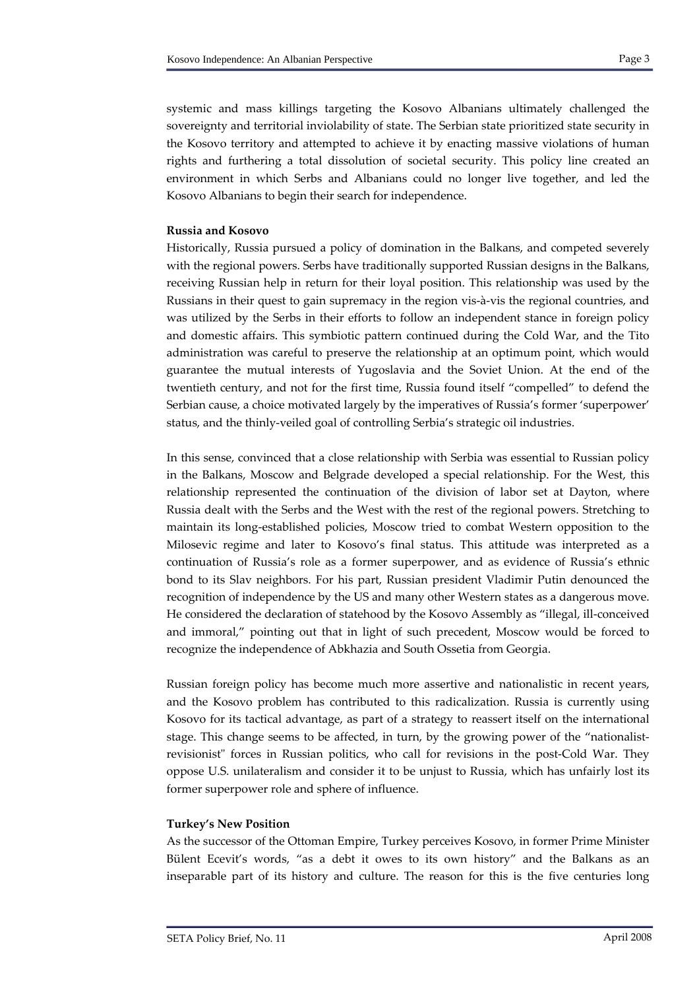systemic and mass killings targeting the Kosovo Albanians ultimately challenged the sovereignty and territorial inviolability of state. The Serbian state prioritized state security in the Kosovo territory and attempted to achieve it by enacting massive violations of human rights and furthering a total dissolution of societal security. This policy line created an environment in which Serbs and Albanians could no longer live together, and led the Kosovo Albanians to begin their search for independence.

### **Russia and Kosovo**

Historically, Russia pursued a policy of domination in the Balkans, and competed severely with the regional powers. Serbs have traditionally supported Russian designs in the Balkans, receiving Russian help in return for their loyal position. This relationship was used by the Russians in their quest to gain supremacy in the region vis‐à‐vis the regional countries, and was utilized by the Serbs in their efforts to follow an independent stance in foreign policy and domestic affairs. This symbiotic pattern continued during the Cold War, and the Tito administration was careful to preserve the relationship at an optimum point, which would guarantee the mutual interests of Yugoslavia and the Soviet Union. At the end of the twentieth century, and not for the first time, Russia found itself "compelled" to defend the Serbian cause, a choice motivated largely by the imperatives of Russia's former 'superpower' status, and the thinly‐veiled goal of controlling Serbia's strategic oil industries.

In this sense, convinced that a close relationship with Serbia was essential to Russian policy in the Balkans, Moscow and Belgrade developed a special relationship. For the West, this relationship represented the continuation of the division of labor set at Dayton, where Russia dealt with the Serbs and the West with the rest of the regional powers. Stretching to maintain its long‐established policies, Moscow tried to combat Western opposition to the Milosevic regime and later to Kosovo's final status. This attitude was interpreted as a continuation of Russia's role as a former superpower, and as evidence of Russia's ethnic bond to its Slav neighbors. For his part, Russian president Vladimir Putin denounced the recognition of independence by the US and many other Western states as a dangerous move. He considered the declaration of statehood by the Kosovo Assembly as "illegal, ill-conceived and immoral," pointing out that in light of such precedent, Moscow would be forced to recognize the independence of Abkhazia and South Ossetia from Georgia.

Russian foreign policy has become much more assertive and nationalistic in recent years, and the Kosovo problem has contributed to this radicalization. Russia is currently using Kosovo for its tactical advantage, as part of a strategy to reassert itself on the international stage. This change seems to be affected, in turn, by the growing power of the "nationalistrevisionist" forces in Russian politics, who call for revisions in the post-Cold War. They oppose U.S. unilateralism and consider it to be unjust to Russia, which has unfairly lost its former superpower role and sphere of influence.

#### **Turkey's New Position**

As the successor of the Ottoman Empire, Turkey perceives Kosovo, in former Prime Minister Bülent Ecevit's words, "as a debt it owes to its own history" and the Balkans as an inseparable part of its history and culture. The reason for this is the five centuries long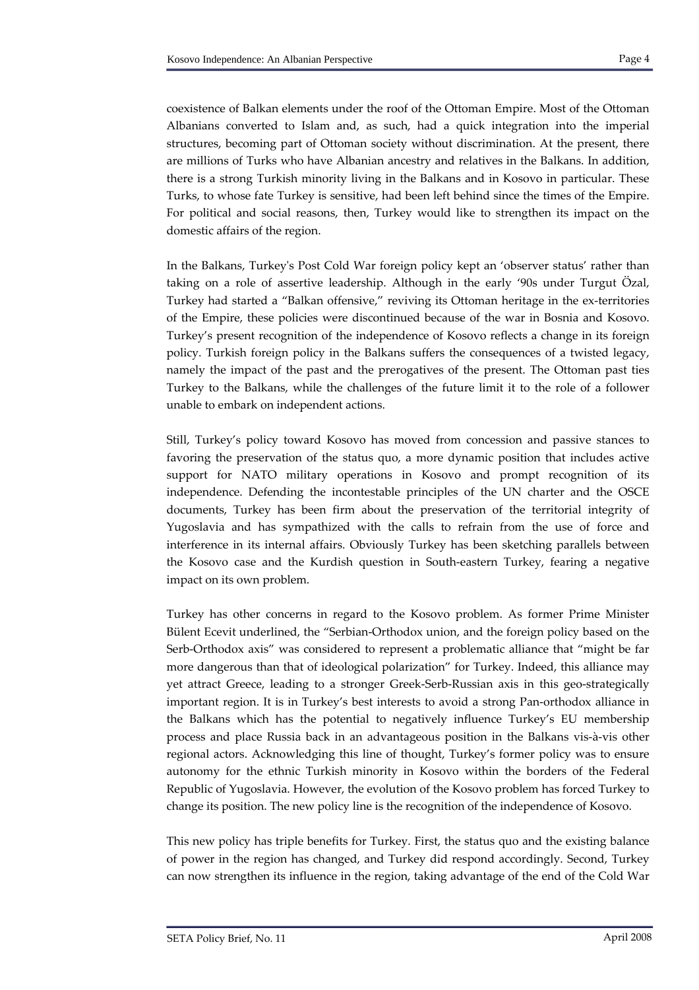coexistence of Balkan elements under the roof of the Ottoman Empire. Most of the Ottoman Albanians converted to Islam and, as such, had a quick integration into the imperial structures, becoming part of Ottoman society without discrimination. At the present, there are millions of Turks who have Albanian ancestry and relatives in the Balkans. In addition, there is a strong Turkish minority living in the Balkans and in Kosovo in particular. These Turks, to whose fate Turkey is sensitive, had been left behind since the times of the Empire. For political and social reasons, then, Turkey would like to strengthen its impact on the domestic affairs of the region.

In the Balkans, Turkeyʹs Post Cold War foreign policy kept an 'observer status' rather than taking on a role of assertive leadership. Although in the early '90s under Turgut Özal, Turkey had started a "Balkan offensive," reviving its Ottoman heritage in the ex‐territories of the Empire, these policies were discontinued because of the war in Bosnia and Kosovo. Turkey's present recognition of the independence of Kosovo reflects a change in its foreign policy. Turkish foreign policy in the Balkans suffers the consequences of a twisted legacy, namely the impact of the past and the prerogatives of the present. The Ottoman past ties Turkey to the Balkans, while the challenges of the future limit it to the role of a follower unable to embark on independent actions.

Still, Turkey's policy toward Kosovo has moved from concession and passive stances to favoring the preservation of the status quo, a more dynamic position that includes active support for NATO military operations in Kosovo and prompt recognition of its independence. Defending the incontestable principles of the UN charter and the OSCE documents, Turkey has been firm about the preservation of the territorial integrity of Yugoslavia and has sympathized with the calls to refrain from the use of force and interference in its internal affairs. Obviously Turkey has been sketching parallels between the Kosovo case and the Kurdish question in South‐eastern Turkey, fearing a negative impact on its own problem.

Turkey has other concerns in regard to the Kosovo problem. As former Prime Minister Bülent Ecevit underlined, the "Serbian‐Orthodox union, and the foreign policy based on the Serb-Orthodox axis" was considered to represent a problematic alliance that "might be far more dangerous than that of ideological polarization" for Turkey. Indeed, this alliance may yet attract Greece, leading to a stronger Greek‐Serb‐Russian axis in this geo‐strategically important region. It is in Turkey's best interests to avoid a strong Pan-orthodox alliance in the Balkans which has the potential to negatively influence Turkey's EU membership process and place Russia back in an advantageous position in the Balkans vis‐à‐vis other regional actors. Acknowledging this line of thought, Turkey's former policy was to ensure autonomy for the ethnic Turkish minority in Kosovo within the borders of the Federal Republic of Yugoslavia. However, the evolution of the Kosovo problem has forced Turkey to change its position. The new policy line is the recognition of the independence of Kosovo.

This new policy has triple benefits for Turkey. First, the status quo and the existing balance of power in the region has changed, and Turkey did respond accordingly. Second, Turkey can now strengthen its influence in the region, taking advantage of the end of the Cold War